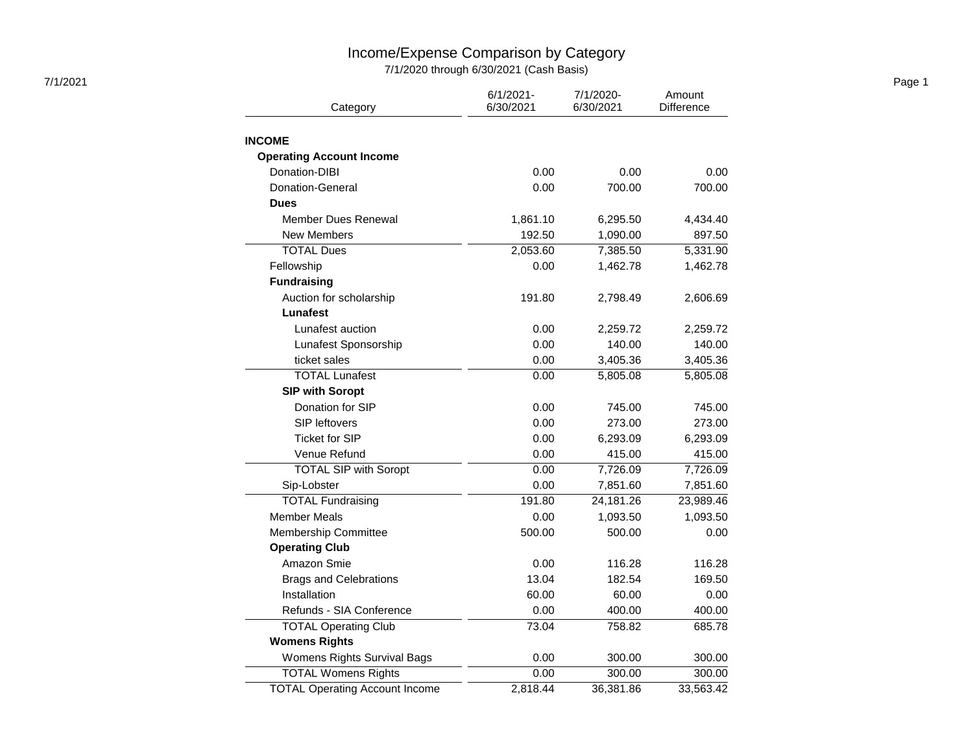## Income/Expense Comparison by Category

7/1/2020 through 6/30/2021 (Cash Basis)

| 7/1/2021 |                                       |                           |                        |                      | Page 1 |
|----------|---------------------------------------|---------------------------|------------------------|----------------------|--------|
|          | Category                              | $6/1/2021 -$<br>6/30/2021 | 7/1/2020-<br>6/30/2021 | Amount<br>Difference |        |
|          |                                       |                           |                        |                      |        |
|          | <b>INCOME</b>                         |                           |                        |                      |        |
|          | <b>Operating Account Income</b>       |                           |                        |                      |        |
|          | Donation-DIBI                         | 0.00                      | 0.00                   | 0.00                 |        |
|          | Donation-General                      | 0.00                      | 700.00                 | 700.00               |        |
|          | <b>Dues</b>                           |                           |                        |                      |        |
|          | <b>Member Dues Renewal</b>            | 1,861.10                  | 6,295.50               | 4,434.40             |        |
|          | <b>New Members</b>                    | 192.50                    | 1,090.00               | 897.50               |        |
|          | <b>TOTAL Dues</b>                     | 2,053.60                  | 7,385.50               | 5,331.90             |        |
|          | Fellowship                            | 0.00                      | 1,462.78               | 1,462.78             |        |
|          | <b>Fundraising</b>                    |                           |                        |                      |        |
|          | Auction for scholarship               | 191.80                    | 2,798.49               | 2,606.69             |        |
|          | Lunafest                              |                           |                        |                      |        |
|          | Lunafest auction                      | 0.00                      | 2,259.72               | 2,259.72             |        |
|          | Lunafest Sponsorship                  | 0.00                      | 140.00                 | 140.00               |        |
|          | ticket sales                          | 0.00                      | 3,405.36               | 3,405.36             |        |
|          | <b>TOTAL Lunafest</b>                 | 0.00                      | 5,805.08               | 5,805.08             |        |
|          | <b>SIP with Soropt</b>                |                           |                        |                      |        |
|          | Donation for SIP                      | 0.00                      | 745.00                 | 745.00               |        |
|          | SIP leftovers                         | 0.00                      | 273.00                 | 273.00               |        |
|          | <b>Ticket for SIP</b>                 | 0.00                      | 6,293.09               | 6,293.09             |        |
|          | Venue Refund                          | 0.00                      | 415.00                 | 415.00               |        |
|          | <b>TOTAL SIP with Soropt</b>          | 0.00                      | 7,726.09               | 7,726.09             |        |
|          | Sip-Lobster                           | 0.00                      | 7,851.60               | 7,851.60             |        |
|          | <b>TOTAL Fundraising</b>              | 191.80                    | 24,181.26              | 23,989.46            |        |
|          | <b>Member Meals</b>                   | 0.00                      | 1,093.50               | 1,093.50             |        |
|          | Membership Committee                  | 500.00                    | 500.00                 | 0.00                 |        |
|          | <b>Operating Club</b>                 |                           |                        |                      |        |
|          | Amazon Smie                           | 0.00                      | 116.28                 | 116.28               |        |
|          | <b>Brags and Celebrations</b>         | 13.04                     | 182.54                 | 169.50               |        |
|          | Installation                          | 60.00                     | 60.00                  | 0.00                 |        |
|          | Refunds - SIA Conference              | 0.00                      | 400.00                 | 400.00               |        |
|          | <b>TOTAL Operating Club</b>           | 73.04                     | 758.82                 | 685.78               |        |
|          | <b>Womens Rights</b>                  |                           |                        |                      |        |
|          | Womens Rights Survival Bags           | 0.00                      | 300.00                 | 300.00               |        |
|          | <b>TOTAL Womens Rights</b>            | 0.00                      | 300.00                 | 300.00               |        |
|          | <b>TOTAL Operating Account Income</b> | 2,818.44                  | 36,381.86              | 33,563.42            |        |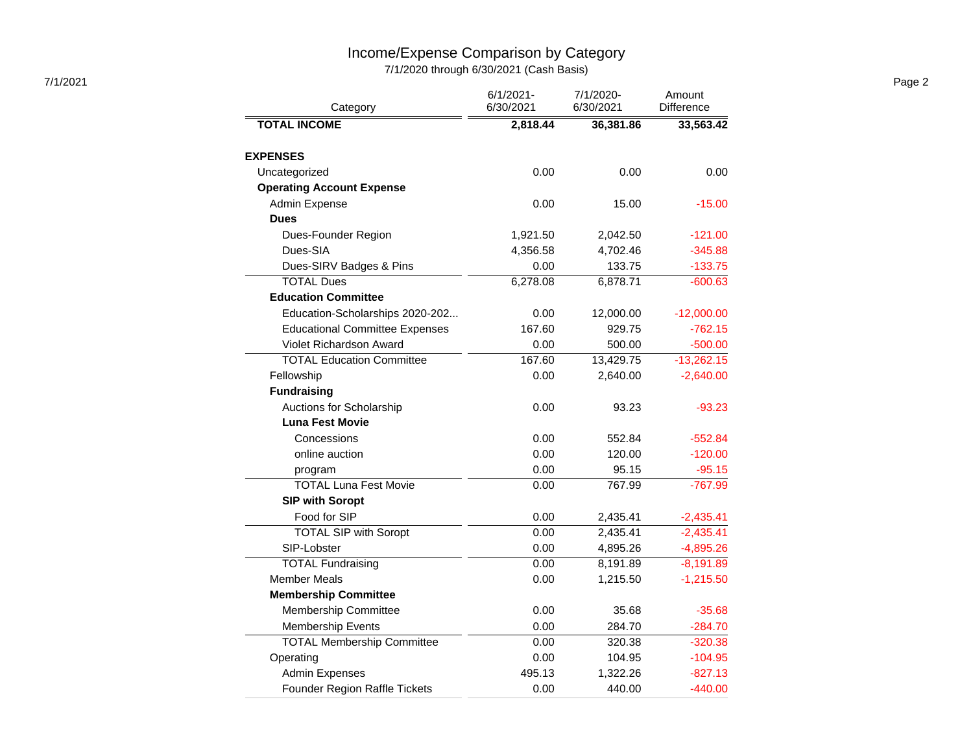## Income/Expense Comparison by Category

7/1/2020 through 6/30/2021 (Cash Basis)

| 7/1/2021 |                                       | $6/1/2021 -$ | 7/1/2020- | Amount            | Page 2 |
|----------|---------------------------------------|--------------|-----------|-------------------|--------|
|          | Category                              | 6/30/2021    | 6/30/2021 | <b>Difference</b> |        |
|          | <b>TOTAL INCOME</b>                   | 2,818.44     | 36,381.86 | 33,563.42         |        |
|          | <b>EXPENSES</b>                       |              |           |                   |        |
|          | Uncategorized                         | 0.00         | 0.00      | 0.00              |        |
|          | <b>Operating Account Expense</b>      |              |           |                   |        |
|          | Admin Expense                         | 0.00         | 15.00     | $-15.00$          |        |
|          | <b>Dues</b>                           |              |           |                   |        |
|          | Dues-Founder Region                   | 1,921.50     | 2,042.50  | $-121.00$         |        |
|          | Dues-SIA                              | 4,356.58     | 4,702.46  | $-345.88$         |        |
|          | Dues-SIRV Badges & Pins               | 0.00         | 133.75    | $-133.75$         |        |
|          | <b>TOTAL Dues</b>                     | 6,278.08     | 6,878.71  | $-600.63$         |        |
|          | <b>Education Committee</b>            |              |           |                   |        |
|          | Education-Scholarships 2020-202       | 0.00         | 12,000.00 | $-12,000.00$      |        |
|          | <b>Educational Committee Expenses</b> | 167.60       | 929.75    | $-762.15$         |        |
|          | Violet Richardson Award               | 0.00         | 500.00    | $-500.00$         |        |
|          | <b>TOTAL Education Committee</b>      | 167.60       | 13,429.75 | $-13,262.15$      |        |
|          | Fellowship                            | 0.00         | 2,640.00  | $-2,640.00$       |        |
|          | <b>Fundraising</b>                    |              |           |                   |        |
|          | Auctions for Scholarship              | 0.00         | 93.23     | $-93.23$          |        |
|          | <b>Luna Fest Movie</b>                |              |           |                   |        |
|          | Concessions                           | 0.00         | 552.84    | $-552.84$         |        |
|          | online auction                        | 0.00         | 120.00    | $-120.00$         |        |
|          | program                               | 0.00         | 95.15     | $-95.15$          |        |
|          | <b>TOTAL Luna Fest Movie</b>          | 0.00         | 767.99    | $-767.99$         |        |
|          | <b>SIP with Soropt</b>                |              |           |                   |        |
|          | Food for SIP                          | 0.00         | 2,435.41  | $-2,435.41$       |        |
|          | <b>TOTAL SIP with Soropt</b>          | 0.00         | 2,435.41  | $-2,435.41$       |        |
|          | SIP-Lobster                           | 0.00         | 4,895.26  | $-4,895.26$       |        |
|          | <b>TOTAL Fundraising</b>              | 0.00         | 8,191.89  | $-8,191.89$       |        |
|          | <b>Member Meals</b>                   | 0.00         | 1,215.50  | $-1,215.50$       |        |
|          | <b>Membership Committee</b>           |              |           |                   |        |
|          | Membership Committee                  | 0.00         | 35.68     | $-35.68$          |        |
|          | <b>Membership Events</b>              | 0.00         | 284.70    | $-284.70$         |        |
|          | <b>TOTAL Membership Committee</b>     | 0.00         | 320.38    | $-320.38$         |        |
|          | Operating                             | 0.00         | 104.95    | $-104.95$         |        |
|          | <b>Admin Expenses</b>                 | 495.13       | 1,322.26  | $-827.13$         |        |
|          | Founder Region Raffle Tickets         | 0.00         | 440.00    | $-440.00$         |        |